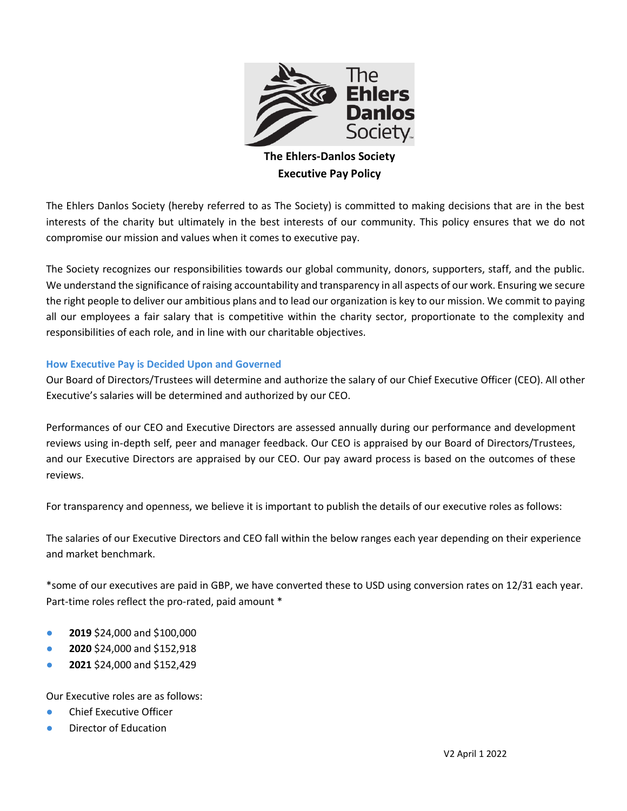

## **The Ehlers-Danlos Society Executive Pay Policy**

The Ehlers Danlos Society (hereby referred to as The Society) is committed to making decisions that are in the best interests of the charity but ultimately in the best interests of our community. This policy ensures that we do not compromise our mission and values when it comes to executive pay.

The Society recognizes our responsibilities towards our global community, donors, supporters, staff, and the public. We understand the significance of raising accountability and transparency in all aspects of our work. Ensuring we secure the right people to deliver our ambitious plans and to lead our organization is key to our mission. We commit to paying all our employees a fair salary that is competitive within the charity sector, proportionate to the complexity and responsibilities of each role, and in line with our charitable objectives.

## **How Executive Pay is Decided Upon and Governed**

Our Board of Directors/Trustees will determine and authorize the salary of our Chief Executive Officer (CEO). All other Executive's salaries will be determined and authorized by our CEO.

Performances of our CEO and Executive Directors are assessed annually during our performance and development reviews using in-depth self, peer and manager feedback. Our CEO is appraised by our Board of Directors/Trustees, and our Executive Directors are appraised by our CEO. Our pay award process is based on the outcomes of these reviews.

For transparency and openness, we believe it is important to publish the details of our executive roles as follows:

The salaries of our Executive Directors and CEO fall within the below ranges each year depending on their experience and market benchmark.

\*some of our executives are paid in GBP, we have converted these to USD using conversion rates on 12/31 each year. Part-time roles reflect the pro-rated, paid amount \*

- **2019** \$24,000 and \$100,000
- **2020** \$24,000 and \$152,918
- **2021** \$24,000 and \$152,429

Our Executive roles are as follows:

- Chief Executive Officer
- Director of Education